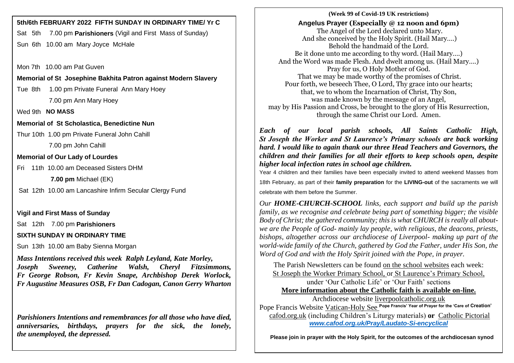# **5th/6th FEBRUARY 2022 FIFTH SUNDAY IN ORDINARY TIME/ Yr C**

Sat 5th 7.00 pm **Parishioners** (Vigil and First Mass of Sunday) Sun 6th 10.00 am Mary Joyce McHale

Mon 7th 10.00 am Pat Guven

**Memorial of St Josephine Bakhita Patron against Modern Slavery**

Tue 8th 1.00 pm Private Funeral Ann Mary Hoey 7.00 pm Ann Mary Hoey

Wed 9th **NO MASS**

**Memorial of St Scholastica, Benedictine Nun**

Thur 10th 1.00 pm Private Funeral John Cahill

7.00 pm John Cahill

**Memorial of Our Lady of Lourdes** 

Fri 11th 10.00 am Deceased Sisters DHM

**7.00 pm** Michael (EK)

Sat 12th 10.00 am Lancashire Infirm Secular Clergy Fund

**Vigil and First Mass of Sunday**

Sat 12th 7.00 pm **Parishioners**

**SIXTH SUNDAY IN ORDINARY TIME** 

Sun 13th 10.00 am Baby Sienna Morgan

*Mass Intentions received this week Ralph Leyland, Kate Morley, Joseph Sweeney, Catherine Walsh, Cheryl Fitzsimmons, Fr George Robson, Fr Kevin Snape, Archbishop Derek Worlock, Fr Augustine Measures OSB, Fr Dan Cadogan, Canon Gerry Wharton* 

*Parishioners Intentions and remembrances for all those who have died, anniversaries, birthdays, prayers for the sick, the lonely, the unemployed, the depressed.*

# **(Week 99 of Covid-19 UK restrictions)** **Angelus Prayer (Especially @ 12 noon and 6pm)** The Angel of the Lord declared unto Mary. And she conceived by the Holy Spirit. (Hail Mary….) Behold the handmaid of the Lord. Be it done unto me according to thy word. (Hail Mary….) And the Word was made Flesh. And dwelt among us. (Hail Mary….) Pray for us, O Holy Mother of God. That we may be made worthy of the promises of Christ. Pour forth, we beseech Thee, O Lord, Thy grace into our hearts; that, we to whom the Incarnation of Christ, Thy Son, was made known by the message of an Angel, may by His Passion and Cross, be brought to the glory of His Resurrection, through the same Christ our Lord. Amen.

*Each of our local parish schools, All Saints Catholic High, St Joseph the Worker and St Laurence's Primary schools are back working hard. I would like to again thank our three Head Teachers and Governors, the children and their families for all their efforts to keep schools open, despite higher local infection rates in school age children.*

Year 4 children and their families have been especially invited to attend weekend Masses from 18th February, as part of their **family preparation** for the **LIVING-out** of the sacraments we will celebrate with them before the Summer.

*Our HOME-CHURCH-SCHOOL links, each support and build up the parish family, as we recognise and celebrate being part of something bigger; the visible Body of Christ; the gathered community; this is what CHURCH is really all aboutwe are the People of God- mainly lay people, with religious, the deacons, priests, bishops, altogether across our archdiocese of Liverpool- making up part of the world-wide family of the Church, gathered by God the Father, under His Son, the Word of God and with the Holy Spirit joined with the Pope, in prayer.*

The Parish Newsletters can be found on the school websites each week: St Joseph the Worker Primary School, or St Laurence's Primary School, under 'Our Catholic Life' or 'Our Faith' sections **More information about the Catholic faith is available on-line.**

Archdiocese website [liverpoolcatholic.org.uk](http://liverpoolcatholic.org.uk/) Pope Francis Website Vatican-Holy See **Pope Francis' Year of Prayer for the 'Care of Creation'** cafod.org.uk (including Children's Liturgy materials) **or** Catholic Pictorial *[www.cafod.org.uk/Pray/Laudato-Si-encyclical](http://www.cafod.org.uk/Pray/Laudato-Si-encyclical)*

 **Please join in prayer with the Holy Spirit, for the outcomes of the archdiocesan synod**